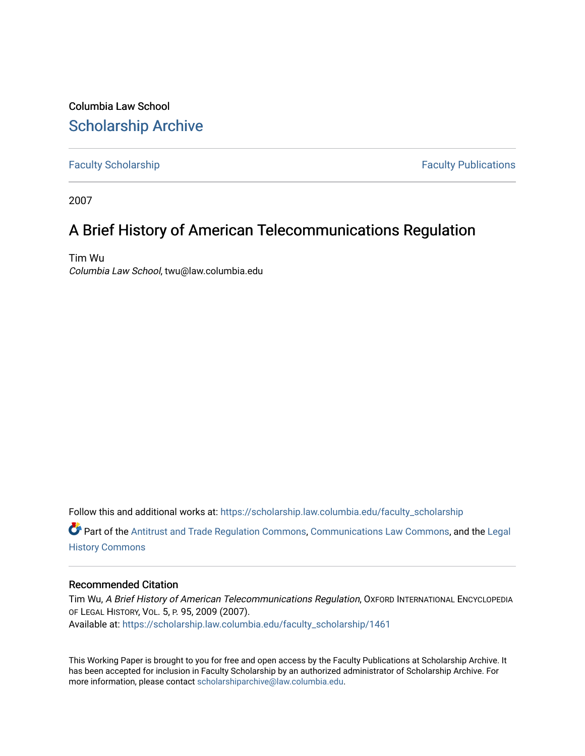Columbia Law School [Scholarship Archive](https://scholarship.law.columbia.edu/) 

[Faculty Scholarship](https://scholarship.law.columbia.edu/faculty_scholarship) **Faculty Scholarship Faculty Publications** 

2007

# A Brief History of American Telecommunications Regulation

Tim Wu Columbia Law School, twu@law.columbia.edu

Follow this and additional works at: [https://scholarship.law.columbia.edu/faculty\\_scholarship](https://scholarship.law.columbia.edu/faculty_scholarship?utm_source=scholarship.law.columbia.edu%2Ffaculty_scholarship%2F1461&utm_medium=PDF&utm_campaign=PDFCoverPages)

 $\bullet$  Part of the [Antitrust and Trade Regulation Commons,](http://network.bepress.com/hgg/discipline/911?utm_source=scholarship.law.columbia.edu%2Ffaculty_scholarship%2F1461&utm_medium=PDF&utm_campaign=PDFCoverPages) [Communications Law Commons](http://network.bepress.com/hgg/discipline/587?utm_source=scholarship.law.columbia.edu%2Ffaculty_scholarship%2F1461&utm_medium=PDF&utm_campaign=PDFCoverPages), and the Legal [History Commons](http://network.bepress.com/hgg/discipline/904?utm_source=scholarship.law.columbia.edu%2Ffaculty_scholarship%2F1461&utm_medium=PDF&utm_campaign=PDFCoverPages)

# Recommended Citation

Tim Wu, A Brief History of American Telecommunications Regulation, OXFORD INTERNATIONAL ENCYCLOPEDIA OF LEGAL HISTORY, VOL. 5, P. 95, 2009 (2007). Available at: [https://scholarship.law.columbia.edu/faculty\\_scholarship/1461](https://scholarship.law.columbia.edu/faculty_scholarship/1461?utm_source=scholarship.law.columbia.edu%2Ffaculty_scholarship%2F1461&utm_medium=PDF&utm_campaign=PDFCoverPages)

This Working Paper is brought to you for free and open access by the Faculty Publications at Scholarship Archive. It has been accepted for inclusion in Faculty Scholarship by an authorized administrator of Scholarship Archive. For more information, please contact [scholarshiparchive@law.columbia.edu.](mailto:scholarshiparchive@law.columbia.edu)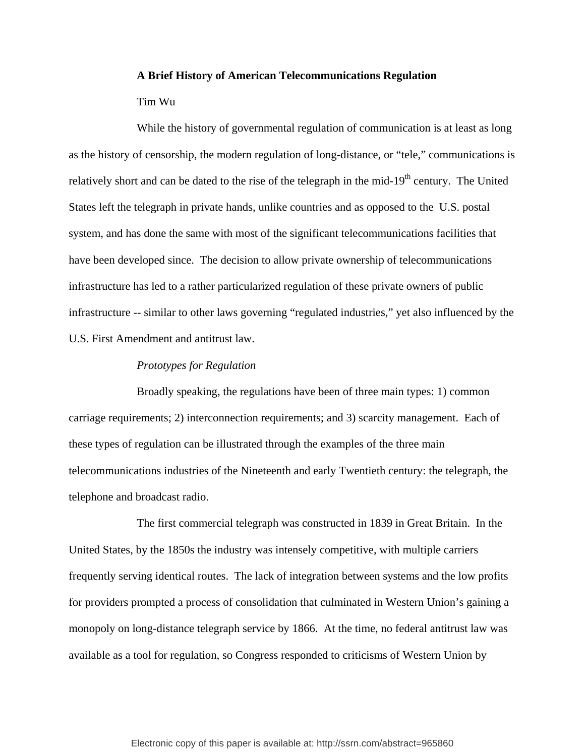### **A Brief History of American Telecommunications Regulation**

## Tim Wu

While the history of governmental regulation of communication is at least as long as the history of censorship, the modern regulation of long-distance, or "tele," communications is relatively short and can be dated to the rise of the telegraph in the mid- $19<sup>th</sup>$  century. The United States left the telegraph in private hands, unlike countries and as opposed to the U.S. postal system, and has done the same with most of the significant telecommunications facilities that have been developed since. The decision to allow private ownership of telecommunications infrastructure has led to a rather particularized regulation of these private owners of public infrastructure -- similar to other laws governing "regulated industries," yet also influenced by the U.S. First Amendment and antitrust law.

#### *Prototypes for Regulation*

Broadly speaking, the regulations have been of three main types: 1) common carriage requirements; 2) interconnection requirements; and 3) scarcity management. Each of these types of regulation can be illustrated through the examples of the three main telecommunications industries of the Nineteenth and early Twentieth century: the telegraph, the telephone and broadcast radio.

The first commercial telegraph was constructed in 1839 in Great Britain. In the United States, by the 1850s the industry was intensely competitive, with multiple carriers frequently serving identical routes. The lack of integration between systems and the low profits for providers prompted a process of consolidation that culminated in Western Union's gaining a monopoly on long-distance telegraph service by 1866. At the time, no federal antitrust law was available as a tool for regulation, so Congress responded to criticisms of Western Union by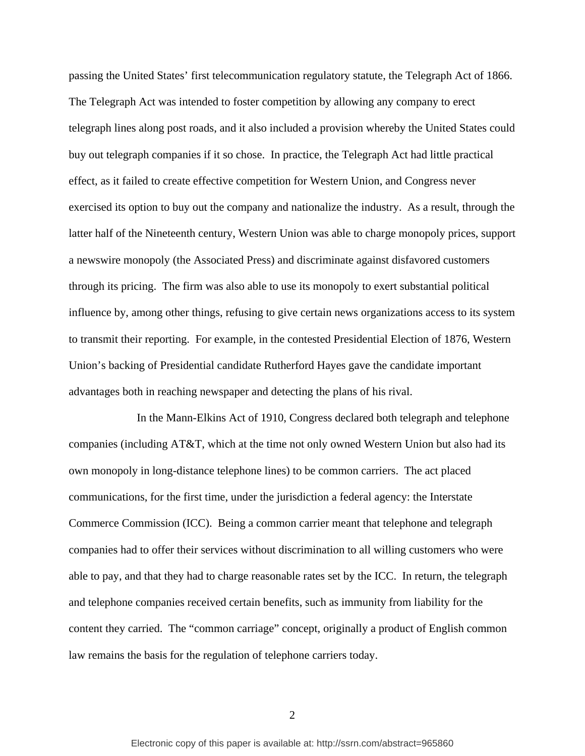passing the United States' first telecommunication regulatory statute, the Telegraph Act of 1866. The Telegraph Act was intended to foster competition by allowing any company to erect telegraph lines along post roads, and it also included a provision whereby the United States could buy out telegraph companies if it so chose. In practice, the Telegraph Act had little practical effect, as it failed to create effective competition for Western Union, and Congress never exercised its option to buy out the company and nationalize the industry. As a result, through the latter half of the Nineteenth century, Western Union was able to charge monopoly prices, support a newswire monopoly (the Associated Press) and discriminate against disfavored customers through its pricing. The firm was also able to use its monopoly to exert substantial political influence by, among other things, refusing to give certain news organizations access to its system to transmit their reporting. For example, in the contested Presidential Election of 1876, Western Union's backing of Presidential candidate Rutherford Hayes gave the candidate important advantages both in reaching newspaper and detecting the plans of his rival.

In the Mann-Elkins Act of 1910, Congress declared both telegraph and telephone companies (including AT&T, which at the time not only owned Western Union but also had its own monopoly in long-distance telephone lines) to be common carriers. The act placed communications, for the first time, under the jurisdiction a federal agency: the Interstate Commerce Commission (ICC). Being a common carrier meant that telephone and telegraph companies had to offer their services without discrimination to all willing customers who were able to pay, and that they had to charge reasonable rates set by the ICC. In return, the telegraph and telephone companies received certain benefits, such as immunity from liability for the content they carried. The "common carriage" concept, originally a product of English common law remains the basis for the regulation of telephone carriers today.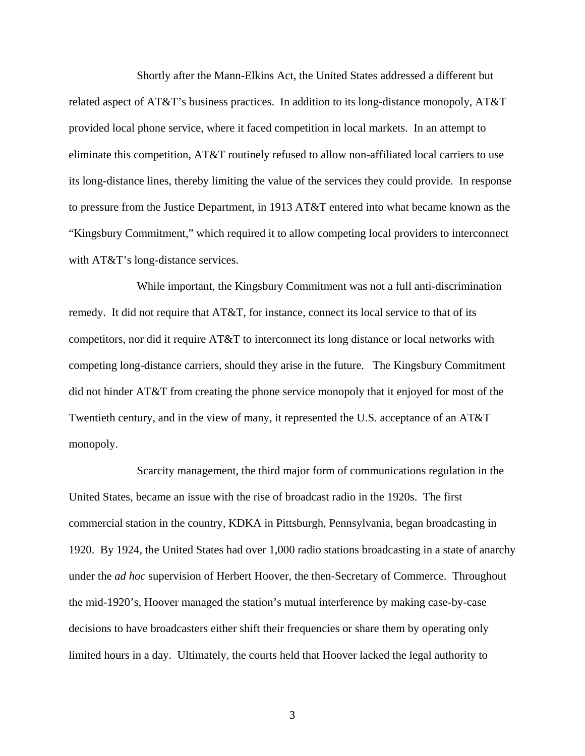Shortly after the Mann-Elkins Act, the United States addressed a different but related aspect of AT&T's business practices. In addition to its long-distance monopoly, AT&T provided local phone service, where it faced competition in local markets. In an attempt to eliminate this competition, AT&T routinely refused to allow non-affiliated local carriers to use its long-distance lines, thereby limiting the value of the services they could provide. In response to pressure from the Justice Department, in 1913 AT&T entered into what became known as the "Kingsbury Commitment," which required it to allow competing local providers to interconnect with AT&T's long-distance services.

While important, the Kingsbury Commitment was not a full anti-discrimination remedy. It did not require that AT&T, for instance, connect its local service to that of its competitors, nor did it require AT&T to interconnect its long distance or local networks with competing long-distance carriers, should they arise in the future. The Kingsbury Commitment did not hinder AT&T from creating the phone service monopoly that it enjoyed for most of the Twentieth century, and in the view of many, it represented the U.S. acceptance of an AT&T monopoly.

Scarcity management, the third major form of communications regulation in the United States, became an issue with the rise of broadcast radio in the 1920s. The first commercial station in the country, KDKA in Pittsburgh, Pennsylvania, began broadcasting in 1920. By 1924, the United States had over 1,000 radio stations broadcasting in a state of anarchy under the *ad hoc* supervision of Herbert Hoover, the then-Secretary of Commerce. Throughout the mid-1920's, Hoover managed the station's mutual interference by making case-by-case decisions to have broadcasters either shift their frequencies or share them by operating only limited hours in a day. Ultimately, the courts held that Hoover lacked the legal authority to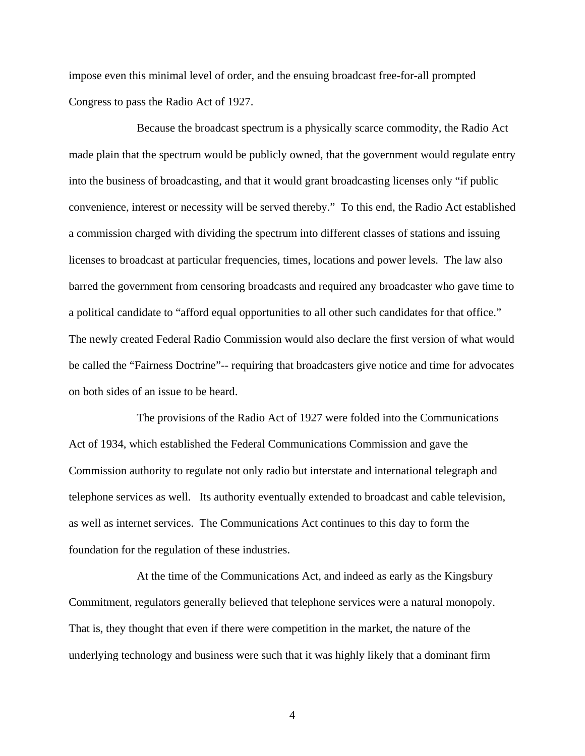impose even this minimal level of order, and the ensuing broadcast free-for-all prompted Congress to pass the Radio Act of 1927.

Because the broadcast spectrum is a physically scarce commodity, the Radio Act made plain that the spectrum would be publicly owned, that the government would regulate entry into the business of broadcasting, and that it would grant broadcasting licenses only "if public convenience, interest or necessity will be served thereby." To this end, the Radio Act established a commission charged with dividing the spectrum into different classes of stations and issuing licenses to broadcast at particular frequencies, times, locations and power levels. The law also barred the government from censoring broadcasts and required any broadcaster who gave time to a political candidate to "afford equal opportunities to all other such candidates for that office." The newly created Federal Radio Commission would also declare the first version of what would be called the "Fairness Doctrine"-- requiring that broadcasters give notice and time for advocates on both sides of an issue to be heard.

The provisions of the Radio Act of 1927 were folded into the Communications Act of 1934, which established the Federal Communications Commission and gave the Commission authority to regulate not only radio but interstate and international telegraph and telephone services as well. Its authority eventually extended to broadcast and cable television, as well as internet services. The Communications Act continues to this day to form the foundation for the regulation of these industries.

At the time of the Communications Act, and indeed as early as the Kingsbury Commitment, regulators generally believed that telephone services were a natural monopoly. That is, they thought that even if there were competition in the market, the nature of the underlying technology and business were such that it was highly likely that a dominant firm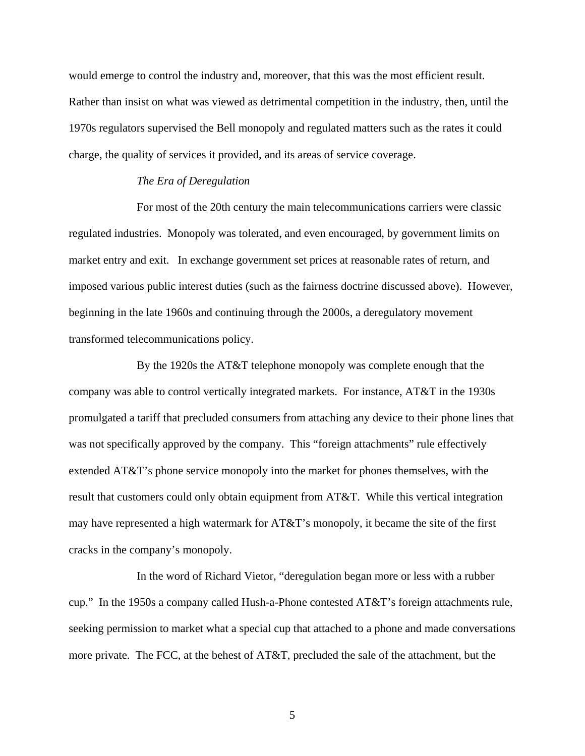would emerge to control the industry and, moreover, that this was the most efficient result. Rather than insist on what was viewed as detrimental competition in the industry, then, until the 1970s regulators supervised the Bell monopoly and regulated matters such as the rates it could charge, the quality of services it provided, and its areas of service coverage.

#### *The Era of Deregulation*

For most of the 20th century the main telecommunications carriers were classic regulated industries. Monopoly was tolerated, and even encouraged, by government limits on market entry and exit. In exchange government set prices at reasonable rates of return, and imposed various public interest duties (such as the fairness doctrine discussed above). However, beginning in the late 1960s and continuing through the 2000s, a deregulatory movement transformed telecommunications policy.

By the 1920s the AT&T telephone monopoly was complete enough that the company was able to control vertically integrated markets. For instance, AT&T in the 1930s promulgated a tariff that precluded consumers from attaching any device to their phone lines that was not specifically approved by the company. This "foreign attachments" rule effectively extended AT&T's phone service monopoly into the market for phones themselves, with the result that customers could only obtain equipment from AT&T. While this vertical integration may have represented a high watermark for AT&T's monopoly, it became the site of the first cracks in the company's monopoly.

In the word of Richard Vietor, "deregulation began more or less with a rubber cup." In the 1950s a company called Hush-a-Phone contested AT&T's foreign attachments rule, seeking permission to market what a special cup that attached to a phone and made conversations more private. The FCC, at the behest of AT&T, precluded the sale of the attachment, but the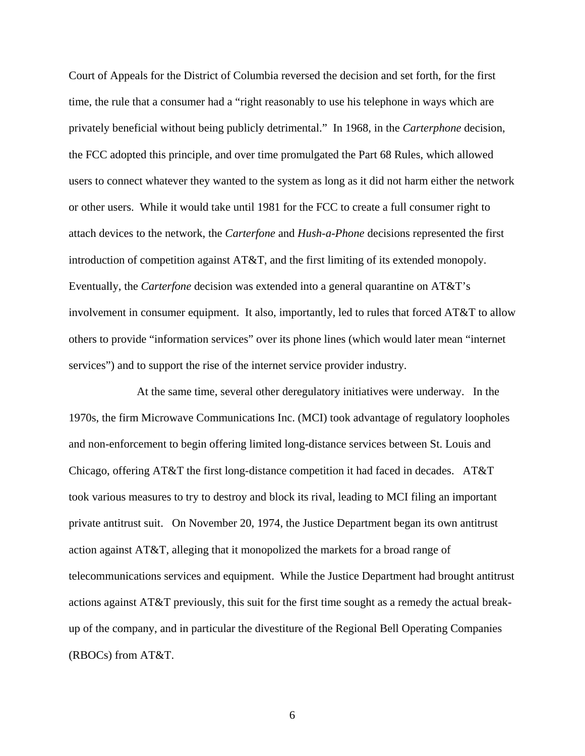Court of Appeals for the District of Columbia reversed the decision and set forth, for the first time, the rule that a consumer had a "right reasonably to use his telephone in ways which are privately beneficial without being publicly detrimental." In 1968, in the *Carterphone* decision, the FCC adopted this principle, and over time promulgated the Part 68 Rules, which allowed users to connect whatever they wanted to the system as long as it did not harm either the network or other users. While it would take until 1981 for the FCC to create a full consumer right to attach devices to the network, the *Carterfone* and *Hush-a-Phone* decisions represented the first introduction of competition against AT&T, and the first limiting of its extended monopoly. Eventually, the *Carterfone* decision was extended into a general quarantine on AT&T's involvement in consumer equipment. It also, importantly, led to rules that forced AT&T to allow others to provide "information services" over its phone lines (which would later mean "internet services") and to support the rise of the internet service provider industry.

At the same time, several other deregulatory initiatives were underway. In the 1970s, the firm Microwave Communications Inc. (MCI) took advantage of regulatory loopholes and non-enforcement to begin offering limited long-distance services between St. Louis and Chicago, offering AT&T the first long-distance competition it had faced in decades. AT&T took various measures to try to destroy and block its rival, leading to MCI filing an important private antitrust suit. On November 20, 1974, the Justice Department began its own antitrust action against AT&T, alleging that it monopolized the markets for a broad range of telecommunications services and equipment. While the Justice Department had brought antitrust actions against AT&T previously, this suit for the first time sought as a remedy the actual breakup of the company, and in particular the divestiture of the Regional Bell Operating Companies (RBOCs) from AT&T.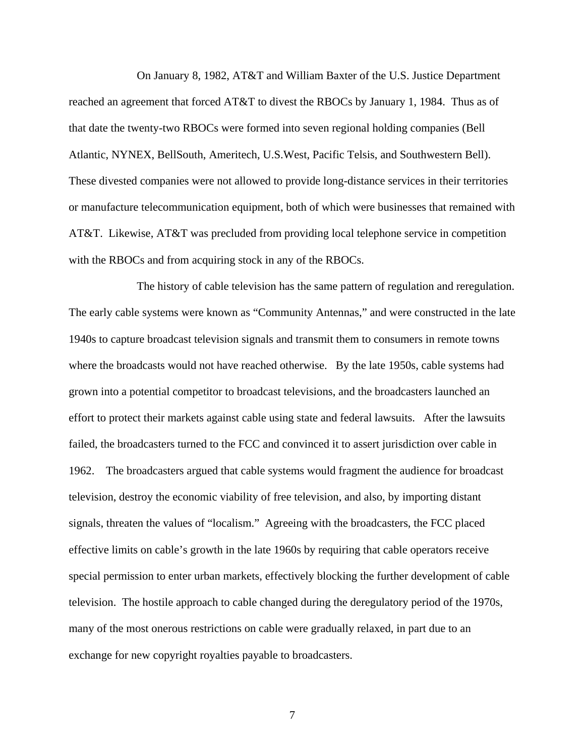On January 8, 1982, AT&T and William Baxter of the U.S. Justice Department reached an agreement that forced AT&T to divest the RBOCs by January 1, 1984. Thus as of that date the twenty-two RBOCs were formed into seven regional holding companies (Bell Atlantic, NYNEX, BellSouth, Ameritech, U.S.West, Pacific Telsis, and Southwestern Bell). These divested companies were not allowed to provide long-distance services in their territories or manufacture telecommunication equipment, both of which were businesses that remained with AT&T. Likewise, AT&T was precluded from providing local telephone service in competition with the RBOCs and from acquiring stock in any of the RBOCs.

The history of cable television has the same pattern of regulation and reregulation. The early cable systems were known as "Community Antennas," and were constructed in the late 1940s to capture broadcast television signals and transmit them to consumers in remote towns where the broadcasts would not have reached otherwise. By the late 1950s, cable systems had grown into a potential competitor to broadcast televisions, and the broadcasters launched an effort to protect their markets against cable using state and federal lawsuits. After the lawsuits failed, the broadcasters turned to the FCC and convinced it to assert jurisdiction over cable in 1962. The broadcasters argued that cable systems would fragment the audience for broadcast television, destroy the economic viability of free television, and also, by importing distant signals, threaten the values of "localism." Agreeing with the broadcasters, the FCC placed effective limits on cable's growth in the late 1960s by requiring that cable operators receive special permission to enter urban markets, effectively blocking the further development of cable television. The hostile approach to cable changed during the deregulatory period of the 1970s, many of the most onerous restrictions on cable were gradually relaxed, in part due to an exchange for new copyright royalties payable to broadcasters.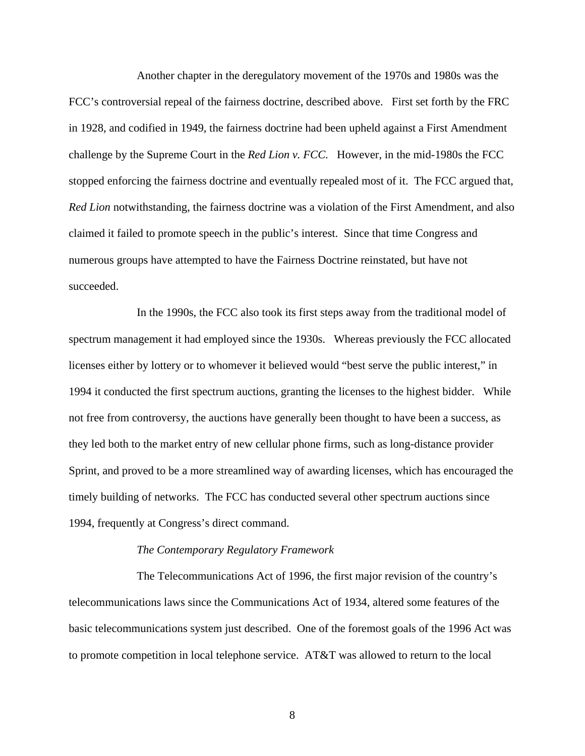Another chapter in the deregulatory movement of the 1970s and 1980s was the FCC's controversial repeal of the fairness doctrine, described above. First set forth by the FRC in 1928, and codified in 1949, the fairness doctrine had been upheld against a First Amendment challenge by the Supreme Court in the *Red Lion v. FCC.* However, in the mid-1980s the FCC stopped enforcing the fairness doctrine and eventually repealed most of it. The FCC argued that, *Red Lion* notwithstanding, the fairness doctrine was a violation of the First Amendment, and also claimed it failed to promote speech in the public's interest. Since that time Congress and numerous groups have attempted to have the Fairness Doctrine reinstated, but have not succeeded.

In the 1990s, the FCC also took its first steps away from the traditional model of spectrum management it had employed since the 1930s. Whereas previously the FCC allocated licenses either by lottery or to whomever it believed would "best serve the public interest," in 1994 it conducted the first spectrum auctions, granting the licenses to the highest bidder. While not free from controversy, the auctions have generally been thought to have been a success, as they led both to the market entry of new cellular phone firms, such as long-distance provider Sprint, and proved to be a more streamlined way of awarding licenses, which has encouraged the timely building of networks. The FCC has conducted several other spectrum auctions since 1994, frequently at Congress's direct command.

#### *The Contemporary Regulatory Framework*

The Telecommunications Act of 1996, the first major revision of the country's telecommunications laws since the Communications Act of 1934, altered some features of the basic telecommunications system just described. One of the foremost goals of the 1996 Act was to promote competition in local telephone service. AT&T was allowed to return to the local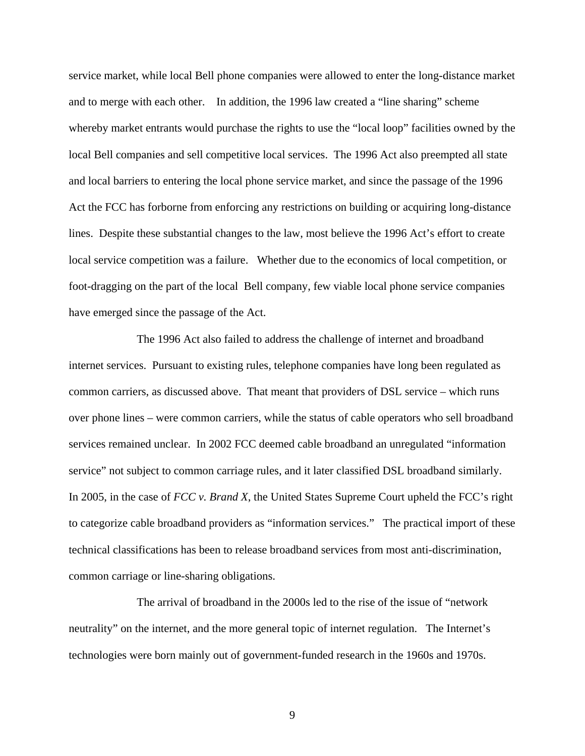service market, while local Bell phone companies were allowed to enter the long-distance market and to merge with each other. In addition, the 1996 law created a "line sharing" scheme whereby market entrants would purchase the rights to use the "local loop" facilities owned by the local Bell companies and sell competitive local services. The 1996 Act also preempted all state and local barriers to entering the local phone service market, and since the passage of the 1996 Act the FCC has forborne from enforcing any restrictions on building or acquiring long-distance lines. Despite these substantial changes to the law, most believe the 1996 Act's effort to create local service competition was a failure. Whether due to the economics of local competition, or foot-dragging on the part of the local Bell company, few viable local phone service companies have emerged since the passage of the Act.

The 1996 Act also failed to address the challenge of internet and broadband internet services. Pursuant to existing rules, telephone companies have long been regulated as common carriers, as discussed above. That meant that providers of DSL service – which runs over phone lines – were common carriers, while the status of cable operators who sell broadband services remained unclear. In 2002 FCC deemed cable broadband an unregulated "information service" not subject to common carriage rules, and it later classified DSL broadband similarly. In 2005, in the case of *FCC v. Brand X*, the United States Supreme Court upheld the FCC's right to categorize cable broadband providers as "information services." The practical import of these technical classifications has been to release broadband services from most anti-discrimination, common carriage or line-sharing obligations.

The arrival of broadband in the 2000s led to the rise of the issue of "network neutrality" on the internet, and the more general topic of internet regulation. The Internet's technologies were born mainly out of government-funded research in the 1960s and 1970s.